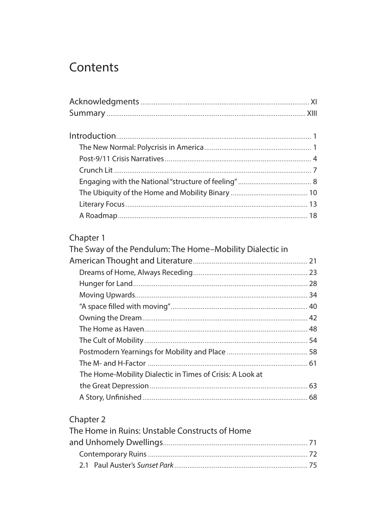## Contents

| Chapter 1                                                 |  |
|-----------------------------------------------------------|--|
| The Sway of the Pendulum: The Home-Mobility Dialectic in  |  |
|                                                           |  |
|                                                           |  |
|                                                           |  |
|                                                           |  |
|                                                           |  |
|                                                           |  |
|                                                           |  |
|                                                           |  |
|                                                           |  |
|                                                           |  |
| The Home-Mobility Dialectic in Times of Crisis: A Look at |  |
|                                                           |  |
|                                                           |  |
|                                                           |  |

## Chapter 2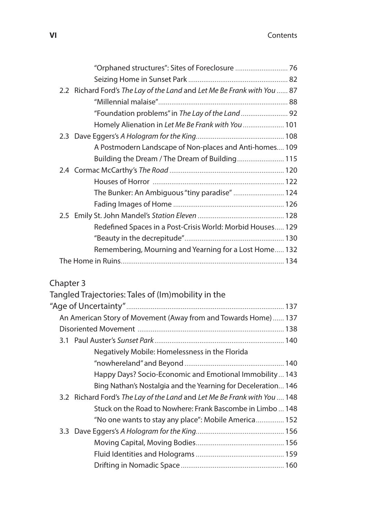| 2.2 Richard Ford's The Lay of the Land and Let Me Be Frank with You  87 |  |
|-------------------------------------------------------------------------|--|
|                                                                         |  |
| "Foundation problems" in The Lay of the Land  92                        |  |
| Homely Alienation in Let Me Be Frank with You  101                      |  |
|                                                                         |  |
| A Postmodern Landscape of Non-places and Anti-homes 109                 |  |
| Building the Dream / The Dream of Building 115                          |  |
|                                                                         |  |
|                                                                         |  |
| The Bunker: An Ambiguous "tiny paradise"  124                           |  |
|                                                                         |  |
|                                                                         |  |
| Redefined Spaces in a Post-Crisis World: Morbid Houses 129              |  |
|                                                                         |  |
| Remembering, Mourning and Yearning for a Lost Home 132                  |  |
|                                                                         |  |
|                                                                         |  |
| Chapter 3                                                               |  |
|                                                                         |  |

| Tangled Trajectories: Tales of (Im)mobility in the                       |
|--------------------------------------------------------------------------|
|                                                                          |
| An American Story of Movement (Away from and Towards Home)  137          |
|                                                                          |
|                                                                          |
| Negatively Mobile: Homelessness in the Florida                           |
|                                                                          |
| Happy Days? Socio-Economic and Emotional Immobility 143                  |
| Bing Nathan's Nostalgia and the Yearning for Deceleration 146            |
| 3.2 Richard Ford's The Lay of the Land and Let Me Be Frank with You  148 |
| Stuck on the Road to Nowhere: Frank Bascombe in Limbo  148               |
| "No one wants to stay any place": Mobile America 152                     |
|                                                                          |
|                                                                          |
|                                                                          |
|                                                                          |